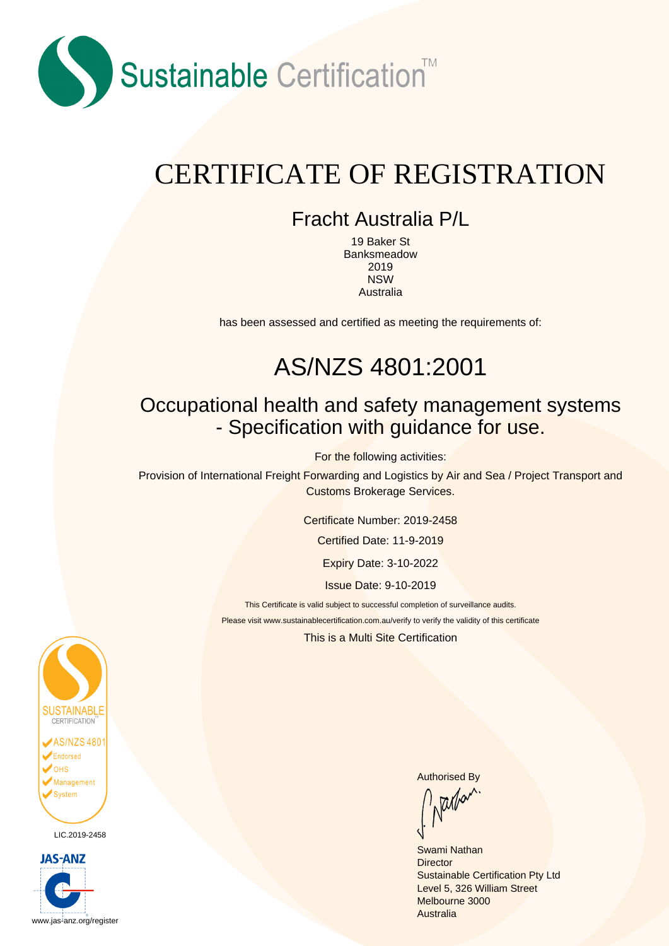

# CERTIFICATE OF REGISTRATION

#### Fracht Australia P/L

19 Baker St Banksmeadow 2019 NSW Australia

has been assessed and certified as meeting the requirements of:

## AS/NZS 4801:2001

#### Occupational health and safety management systems - Specification with guidance for use.

For the following activities:

Provision of International Freight Forwarding and Logistics by Air and Sea / Project Transport and Customs Brokerage Services.

Certificate Number: 2019-2458

Certified Date: 11-9-2019

Expiry Date: 3-10-2022

Issue Date: 9-10-2019

This Certificate is valid subject to successful completion of surveillance audits.

Please visit www.sustainablecertification.com.au/verify to verify the validity of this certificate

This is a Multi Site Certification



LIC.2019-2458



Authorised By<br>
Nallet

Swami Nathan **Director** Sustainable Certification Pty Ltd Level 5, 326 William Street Melbourne 3000 Australia